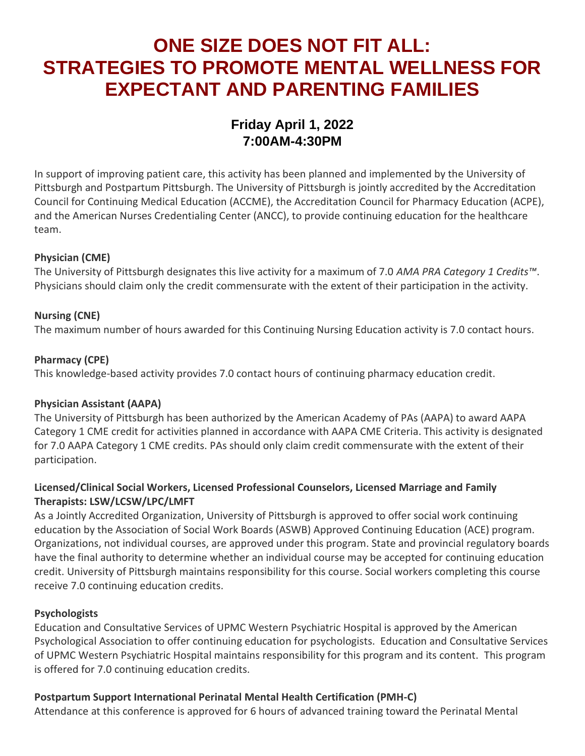# **ONE SIZE DOES NOT FIT ALL: STRATEGIES TO PROMOTE MENTAL WELLNESS FOR EXPECTANT AND PARENTING FAMILIES**

# **Friday April 1, 2022 7:00AM-4:30PM**

In support of improving patient care, this activity has been planned and implemented by the University of Pittsburgh and Postpartum Pittsburgh. The University of Pittsburgh is jointly accredited by the Accreditation Council for Continuing Medical Education (ACCME), the Accreditation Council for Pharmacy Education (ACPE), and the American Nurses Credentialing Center (ANCC), to provide continuing education for the healthcare team.

# **Physician (CME)**

The University of Pittsburgh designates this live activity for a maximum of 7.0 *AMA PRA Category 1 Credits™*. Physicians should claim only the credit commensurate with the extent of their participation in the activity.

# **Nursing (CNE)**

The maximum number of hours awarded for this Continuing Nursing Education activity is 7.0 contact hours.

#### **Pharmacy (CPE)**

This knowledge-based activity provides 7.0 contact hours of continuing pharmacy education credit.

#### **Physician Assistant (AAPA)**

The University of Pittsburgh has been authorized by the American Academy of PAs (AAPA) to award AAPA Category 1 CME credit for activities planned in accordance with AAPA CME Criteria. This activity is designated for 7.0 AAPA Category 1 CME credits. PAs should only claim credit commensurate with the extent of their participation.

# **Licensed/Clinical Social Workers, Licensed Professional Counselors, Licensed Marriage and Family Therapists: LSW/LCSW/LPC/LMFT**

As a Jointly Accredited Organization, University of Pittsburgh is approved to offer social work continuing education by the Association of Social Work Boards (ASWB) Approved Continuing Education (ACE) program. Organizations, not individual courses, are approved under this program. State and provincial regulatory boards have the final authority to determine whether an individual course may be accepted for continuing education credit. University of Pittsburgh maintains responsibility for this course. Social workers completing this course receive 7.0 continuing education credits.

#### **Psychologists**

Education and Consultative Services of UPMC Western Psychiatric Hospital is approved by the American Psychological Association to offer continuing education for psychologists. Education and Consultative Services of UPMC Western Psychiatric Hospital maintains responsibility for this program and its content. This program is offered for 7.0 continuing education credits.

#### **Postpartum Support International Perinatal Mental Health Certification (PMH-C)**

Attendance at this conference is approved for 6 hours of advanced training toward the Perinatal Mental